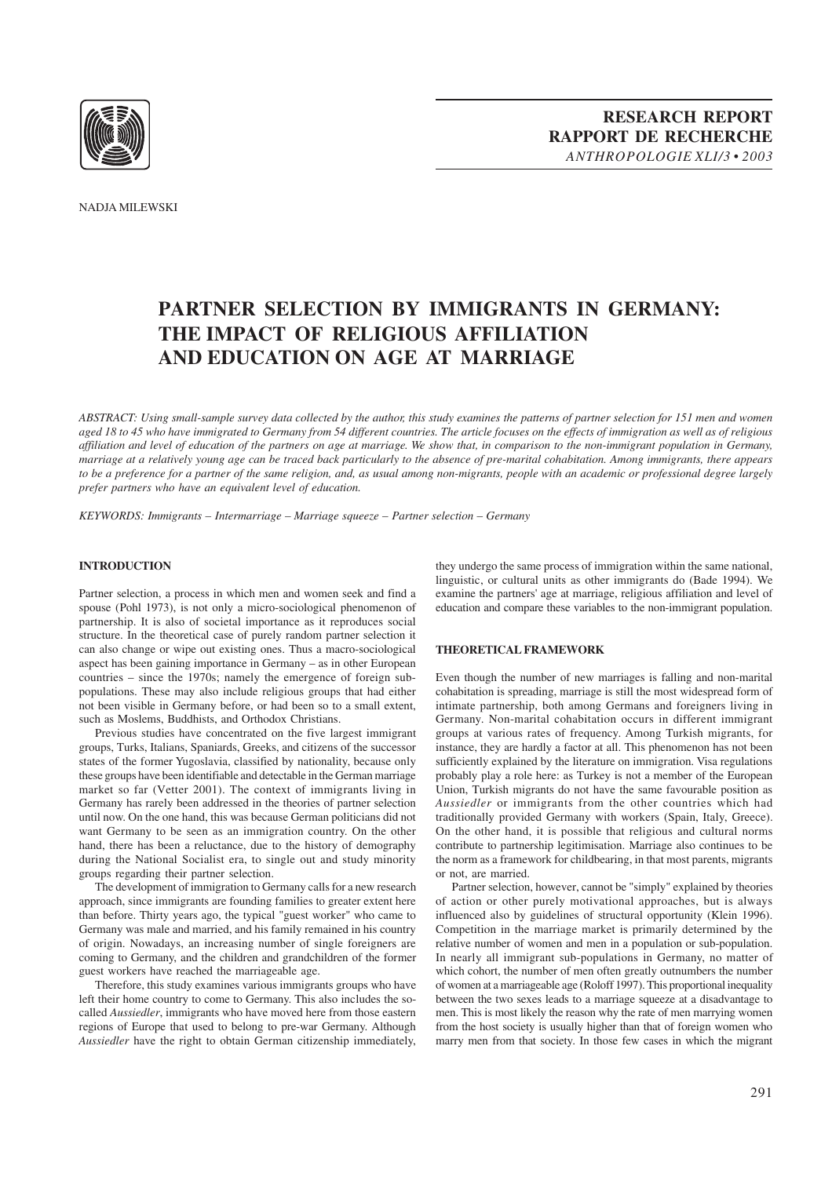

# **PARTNER SELECTION BY IMMIGRANTS IN GERMANY: THE IMPACT OF RELIGIOUS AFFILIATION AND EDUCATION ON AGE AT MARRIAGE**

*ABSTRACT: Using small-sample survey data collected by the author, this study examines the patterns of partner selection for 151 men and women aged 18 to 45 who have immigrated to Germany from 54 different countries. The article focuses on the effects of immigration as well as of religious affiliation and level of education of the partners on age at marriage. We show that, in comparison to the non-immigrant population in Germany, marriage at a relatively young age can be traced back particularly to the absence of pre-marital cohabitation. Among immigrants, there appears to be a preference for a partner of the same religion, and, as usual among non-migrants, people with an academic or professional degree largely prefer partners who have an equivalent level of education.*

*KEYWORDS: Immigrants – Intermarriage – Marriage squeeze – Partner selection – Germany*

## **INTRODUCTION**

Partner selection, a process in which men and women seek and find a spouse (Pohl 1973), is not only a micro-sociological phenomenon of partnership. It is also of societal importance as it reproduces social structure. In the theoretical case of purely random partner selection it can also change or wipe out existing ones. Thus a macro-sociological aspect has been gaining importance in Germany – as in other European countries – since the 1970s; namely the emergence of foreign subpopulations. These may also include religious groups that had either not been visible in Germany before, or had been so to a small extent, such as Moslems, Buddhists, and Orthodox Christians.

Previous studies have concentrated on the five largest immigrant groups, Turks, Italians, Spaniards, Greeks, and citizens of the successor states of the former Yugoslavia, classified by nationality, because only these groups have been identifiable and detectable in the German marriage market so far (Vetter 2001). The context of immigrants living in Germany has rarely been addressed in the theories of partner selection until now. On the one hand, this was because German politicians did not want Germany to be seen as an immigration country. On the other hand, there has been a reluctance, due to the history of demography during the National Socialist era, to single out and study minority groups regarding their partner selection.

The development of immigration to Germany calls for a new research approach, since immigrants are founding families to greater extent here than before. Thirty years ago, the typical "guest worker" who came to Germany was male and married, and his family remained in his country of origin. Nowadays, an increasing number of single foreigners are coming to Germany, and the children and grandchildren of the former guest workers have reached the marriageable age.

Therefore, this study examines various immigrants groups who have left their home country to come to Germany. This also includes the socalled *Aussiedler*, immigrants who have moved here from those eastern regions of Europe that used to belong to pre-war Germany. Although *Aussiedler* have the right to obtain German citizenship immediately, they undergo the same process of immigration within the same national, linguistic, or cultural units as other immigrants do (Bade 1994). We examine the partners' age at marriage, religious affiliation and level of education and compare these variables to the non-immigrant population.

#### **THEORETICAL FRAMEWORK**

Even though the number of new marriages is falling and non-marital cohabitation is spreading, marriage is still the most widespread form of intimate partnership, both among Germans and foreigners living in Germany. Non-marital cohabitation occurs in different immigrant groups at various rates of frequency. Among Turkish migrants, for instance, they are hardly a factor at all. This phenomenon has not been sufficiently explained by the literature on immigration. Visa regulations probably play a role here: as Turkey is not a member of the European Union, Turkish migrants do not have the same favourable position as *Aussiedler* or immigrants from the other countries which had traditionally provided Germany with workers (Spain, Italy, Greece). On the other hand, it is possible that religious and cultural norms contribute to partnership legitimisation. Marriage also continues to be the norm as a framework for childbearing, in that most parents, migrants or not, are married.

Partner selection, however, cannot be "simply" explained by theories of action or other purely motivational approaches, but is always influenced also by guidelines of structural opportunity (Klein 1996). Competition in the marriage market is primarily determined by the relative number of women and men in a population or sub-population. In nearly all immigrant sub-populations in Germany, no matter of which cohort, the number of men often greatly outnumbers the number of women at a marriageable age (Roloff 1997). This proportional inequality between the two sexes leads to a marriage squeeze at a disadvantage to men. This is most likely the reason why the rate of men marrying women from the host society is usually higher than that of foreign women who marry men from that society. In those few cases in which the migrant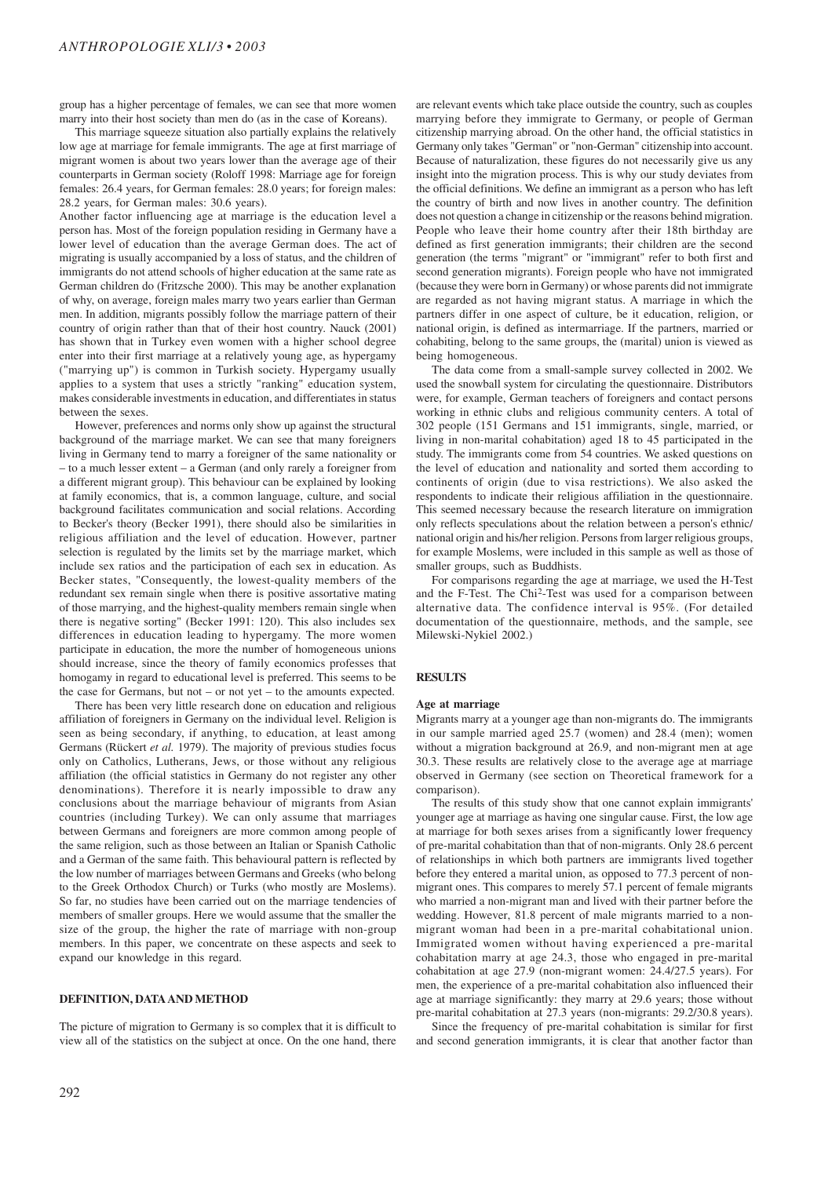group has a higher percentage of females, we can see that more women marry into their host society than men do (as in the case of Koreans).

This marriage squeeze situation also partially explains the relatively low age at marriage for female immigrants. The age at first marriage of migrant women is about two years lower than the average age of their counterparts in German society (Roloff 1998: Marriage age for foreign females: 26.4 years, for German females: 28.0 years; for foreign males: 28.2 years, for German males: 30.6 years).

Another factor influencing age at marriage is the education level a person has. Most of the foreign population residing in Germany have a lower level of education than the average German does. The act of migrating is usually accompanied by a loss of status, and the children of immigrants do not attend schools of higher education at the same rate as German children do (Fritzsche 2000). This may be another explanation of why, on average, foreign males marry two years earlier than German men. In addition, migrants possibly follow the marriage pattern of their country of origin rather than that of their host country. Nauck (2001) has shown that in Turkey even women with a higher school degree enter into their first marriage at a relatively young age, as hypergamy ("marrying up") is common in Turkish society. Hypergamy usually applies to a system that uses a strictly "ranking" education system, makes considerable investments in education, and differentiates in status between the sexes.

However, preferences and norms only show up against the structural background of the marriage market. We can see that many foreigners living in Germany tend to marry a foreigner of the same nationality or – to a much lesser extent – a German (and only rarely a foreigner from a different migrant group). This behaviour can be explained by looking at family economics, that is, a common language, culture, and social background facilitates communication and social relations. According to Becker's theory (Becker 1991), there should also be similarities in religious affiliation and the level of education. However, partner selection is regulated by the limits set by the marriage market, which include sex ratios and the participation of each sex in education. As Becker states, "Consequently, the lowest-quality members of the redundant sex remain single when there is positive assortative mating of those marrying, and the highest-quality members remain single when there is negative sorting" (Becker 1991: 120). This also includes sex differences in education leading to hypergamy. The more women participate in education, the more the number of homogeneous unions should increase, since the theory of family economics professes that homogamy in regard to educational level is preferred. This seems to be the case for Germans, but not – or not yet – to the amounts expected.

There has been very little research done on education and religious affiliation of foreigners in Germany on the individual level. Religion is seen as being secondary, if anything, to education, at least among Germans (Rückert *et al.* 1979). The majority of previous studies focus only on Catholics, Lutherans, Jews, or those without any religious affiliation (the official statistics in Germany do not register any other denominations). Therefore it is nearly impossible to draw any conclusions about the marriage behaviour of migrants from Asian countries (including Turkey). We can only assume that marriages between Germans and foreigners are more common among people of the same religion, such as those between an Italian or Spanish Catholic and a German of the same faith. This behavioural pattern is reflected by the low number of marriages between Germans and Greeks (who belong to the Greek Orthodox Church) or Turks (who mostly are Moslems). So far, no studies have been carried out on the marriage tendencies of members of smaller groups. Here we would assume that the smaller the size of the group, the higher the rate of marriage with non-group members. In this paper, we concentrate on these aspects and seek to expand our knowledge in this regard.

#### **DEFINITION, DATA AND METHOD**

The picture of migration to Germany is so complex that it is difficult to view all of the statistics on the subject at once. On the one hand, there are relevant events which take place outside the country, such as couples marrying before they immigrate to Germany, or people of German citizenship marrying abroad. On the other hand, the official statistics in Germany only takes "German" or "non-German" citizenship into account. Because of naturalization, these figures do not necessarily give us any insight into the migration process. This is why our study deviates from the official definitions. We define an immigrant as a person who has left the country of birth and now lives in another country. The definition does not question a change in citizenship or the reasons behind migration. People who leave their home country after their 18th birthday are defined as first generation immigrants; their children are the second generation (the terms "migrant" or "immigrant" refer to both first and second generation migrants). Foreign people who have not immigrated (because they were born in Germany) or whose parents did not immigrate are regarded as not having migrant status. A marriage in which the partners differ in one aspect of culture, be it education, religion, or national origin, is defined as intermarriage. If the partners, married or cohabiting, belong to the same groups, the (marital) union is viewed as being homogeneous.

The data come from a small-sample survey collected in 2002. We used the snowball system for circulating the questionnaire. Distributors were, for example, German teachers of foreigners and contact persons working in ethnic clubs and religious community centers. A total of 302 people (151 Germans and 151 immigrants, single, married, or living in non-marital cohabitation) aged 18 to 45 participated in the study. The immigrants come from 54 countries. We asked questions on the level of education and nationality and sorted them according to continents of origin (due to visa restrictions). We also asked the respondents to indicate their religious affiliation in the questionnaire. This seemed necessary because the research literature on immigration only reflects speculations about the relation between a person's ethnic/ national origin and his/her religion. Persons from larger religious groups, for example Moslems, were included in this sample as well as those of smaller groups, such as Buddhists.

For comparisons regarding the age at marriage, we used the H-Test and the F-Test. The Chi2-Test was used for a comparison between alternative data. The confidence interval is 95%. (For detailed documentation of the questionnaire, methods, and the sample, see Milewski-Nykiel 2002.)

#### **RESULTS**

#### **Age at marriage**

Migrants marry at a younger age than non-migrants do. The immigrants in our sample married aged 25.7 (women) and 28.4 (men); women without a migration background at 26.9, and non-migrant men at age 30.3. These results are relatively close to the average age at marriage observed in Germany (see section on Theoretical framework for a comparison).

The results of this study show that one cannot explain immigrants' younger age at marriage as having one singular cause. First, the low age at marriage for both sexes arises from a significantly lower frequency of pre-marital cohabitation than that of non-migrants. Only 28.6 percent of relationships in which both partners are immigrants lived together before they entered a marital union, as opposed to 77.3 percent of nonmigrant ones. This compares to merely 57.1 percent of female migrants who married a non-migrant man and lived with their partner before the wedding. However, 81.8 percent of male migrants married to a nonmigrant woman had been in a pre-marital cohabitational union. Immigrated women without having experienced a pre-marital cohabitation marry at age 24.3, those who engaged in pre-marital cohabitation at age 27.9 (non-migrant women: 24.4/27.5 years). For men, the experience of a pre-marital cohabitation also influenced their age at marriage significantly: they marry at 29.6 years; those without pre-marital cohabitation at 27.3 years (non-migrants: 29.2/30.8 years).

Since the frequency of pre-marital cohabitation is similar for first and second generation immigrants, it is clear that another factor than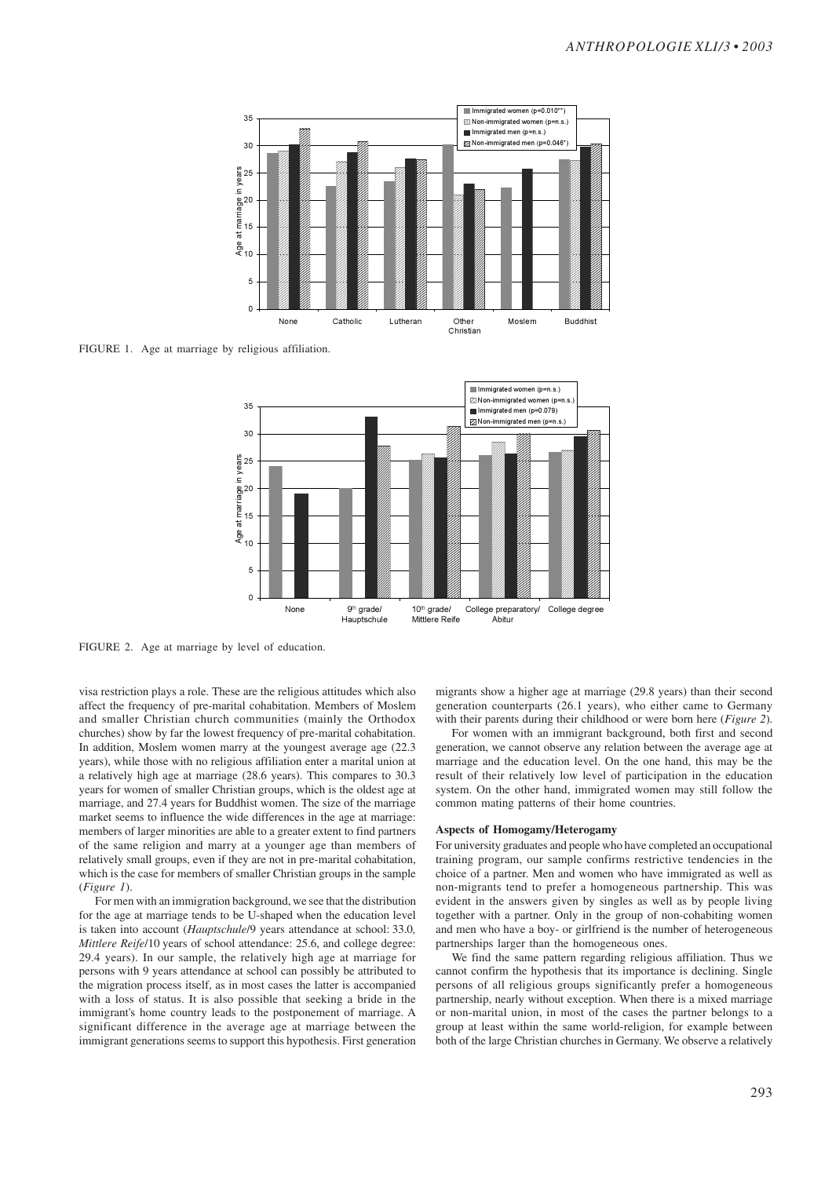

FIGURE 1. Age at marriage by religious affiliation.



FIGURE 2. Age at marriage by level of education.

visa restriction plays a role. These are the religious attitudes which also affect the frequency of pre-marital cohabitation. Members of Moslem and smaller Christian church communities (mainly the Orthodox churches) show by far the lowest frequency of pre-marital cohabitation. In addition, Moslem women marry at the youngest average age (22.3 years), while those with no religious affiliation enter a marital union at a relatively high age at marriage (28.6 years). This compares to 30.3 years for women of smaller Christian groups, which is the oldest age at marriage, and 27.4 years for Buddhist women. The size of the marriage market seems to influence the wide differences in the age at marriage: members of larger minorities are able to a greater extent to find partners of the same religion and marry at a younger age than members of relatively small groups, even if they are not in pre-marital cohabitation, which is the case for members of smaller Christian groups in the sample (*Figure 1*).

For men with an immigration background, we see that the distribution for the age at marriage tends to be U-shaped when the education level is taken into account (*Hauptschule*/9 years attendance at school: 33.0*, Mittlere Reife*/10 years of school attendance: 25.6, and college degree: 29.4 years). In our sample, the relatively high age at marriage for persons with 9 years attendance at school can possibly be attributed to the migration process itself, as in most cases the latter is accompanied with a loss of status. It is also possible that seeking a bride in the immigrant's home country leads to the postponement of marriage. A significant difference in the average age at marriage between the immigrant generations seems to support this hypothesis. First generation migrants show a higher age at marriage (29.8 years) than their second generation counterparts (26.1 years), who either came to Germany with their parents during their childhood or were born here (*Figure 2*).

For women with an immigrant background, both first and second generation, we cannot observe any relation between the average age at marriage and the education level. On the one hand, this may be the result of their relatively low level of participation in the education system. On the other hand, immigrated women may still follow the common mating patterns of their home countries.

## **Aspects of Homogamy/Heterogamy**

For university graduates and people who have completed an occupational training program, our sample confirms restrictive tendencies in the choice of a partner. Men and women who have immigrated as well as non-migrants tend to prefer a homogeneous partnership. This was evident in the answers given by singles as well as by people living together with a partner. Only in the group of non-cohabiting women and men who have a boy- or girlfriend is the number of heterogeneous partnerships larger than the homogeneous ones.

We find the same pattern regarding religious affiliation. Thus we cannot confirm the hypothesis that its importance is declining. Single persons of all religious groups significantly prefer a homogeneous partnership, nearly without exception. When there is a mixed marriage or non-marital union, in most of the cases the partner belongs to a group at least within the same world-religion, for example between both of the large Christian churches in Germany. We observe a relatively